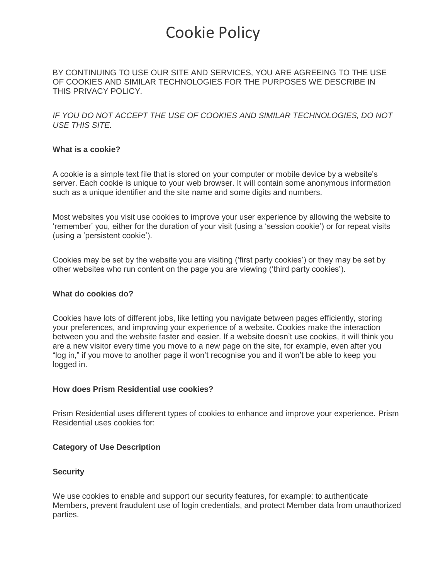## Cookie Policy

BY CONTINUING TO USE OUR SITE AND SERVICES, YOU ARE AGREEING TO THE USE OF COOKIES AND SIMILAR TECHNOLOGIES FOR THE PURPOSES WE DESCRIBE IN THIS PRIVACY POLICY.

*IF YOU DO NOT ACCEPT THE USE OF COOKIES AND SIMILAR TECHNOLOGIES, DO NOT USE THIS SITE.* 

## **What is a cookie?**

A cookie is a simple text file that is stored on your computer or mobile device by a website's server. Each cookie is unique to your web browser. It will contain some anonymous information such as a unique identifier and the site name and some digits and numbers.

Most websites you visit use cookies to improve your user experience by allowing the website to 'remember' you, either for the duration of your visit (using a 'session cookie') or for repeat visits (using a 'persistent cookie').

Cookies may be set by the website you are visiting ('first party cookies') or they may be set by other websites who run content on the page you are viewing ('third party cookies').

### **What do cookies do?**

Cookies have lots of different jobs, like letting you navigate between pages efficiently, storing your preferences, and improving your experience of a website. Cookies make the interaction between you and the website faster and easier. If a website doesn't use cookies, it will think you are a new visitor every time you move to a new page on the site, for example, even after you "log in," if you move to another page it won't recognise you and it won't be able to keep you logged in.

### **How does Prism Residential use cookies?**

Prism Residential uses different types of cookies to enhance and improve your experience. Prism Residential uses cookies for:

### **Category of Use Description**

### **Security**

We use cookies to enable and support our security features, for example: to authenticate Members, prevent fraudulent use of login credentials, and protect Member data from unauthorized parties.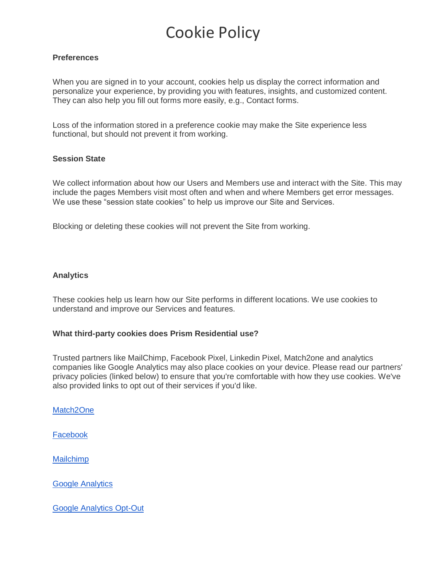# Cookie Policy

## **Preferences**

When you are signed in to your account, cookies help us display the correct information and personalize your experience, by providing you with features, insights, and customized content. They can also help you fill out forms more easily, e.g., Contact forms.

Loss of the information stored in a preference cookie may make the Site experience less functional, but should not prevent it from working.

## **Session State**

We collect information about how our Users and Members use and interact with the Site. This may include the pages Members visit most often and when and where Members get error messages. We use these "session state cookies" to help us improve our Site and Services.

Blocking or deleting these cookies will not prevent the Site from working.

## **Analytics**

These cookies help us learn how our Site performs in different locations. We use cookies to understand and improve our Services and features.

### **What third-party cookies does Prism Residential use?**

Trusted partners like MailChimp, Facebook Pixel, Linkedin Pixel, Match2one and analytics companies like Google Analytics may also place cookies on your device. Please read our partners' privacy policies (linked below) to ensure that you're comfortable with how they use cookies. We've also provided links to opt out of their services if you'd like.

[Match2One](https://www.match2one.com/cookie-policy/)

[Facebook](https://www.facebook.com/policy/cookies/) 

**[Mailchimp](https://mailchimp.com/legal/cookies/)** 

[Google Analytics](https://developers.google.com/analytics/devguides/collection/analyticsjs/cookie-usage) 

[Google Analytics Opt-Out](https://tools.google.com/dlpage/gaoptout)